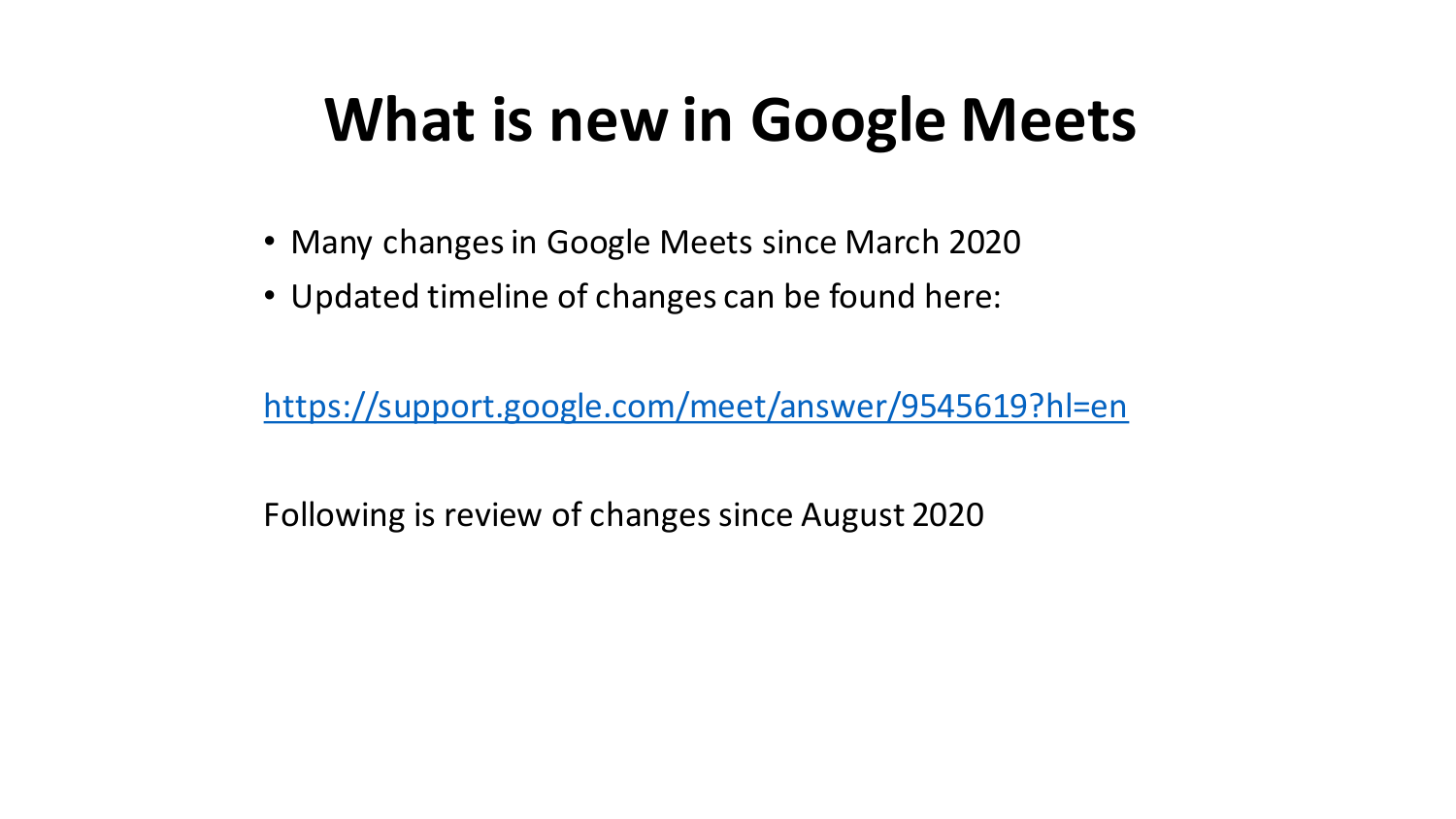# **What is new in Google Meets**

- Many changes in Google Meets since March 2020
- Updated timeline of changes can be found here:

<https://support.google.com/meet/answer/9545619?hl=en>

Following is review of changes since August 2020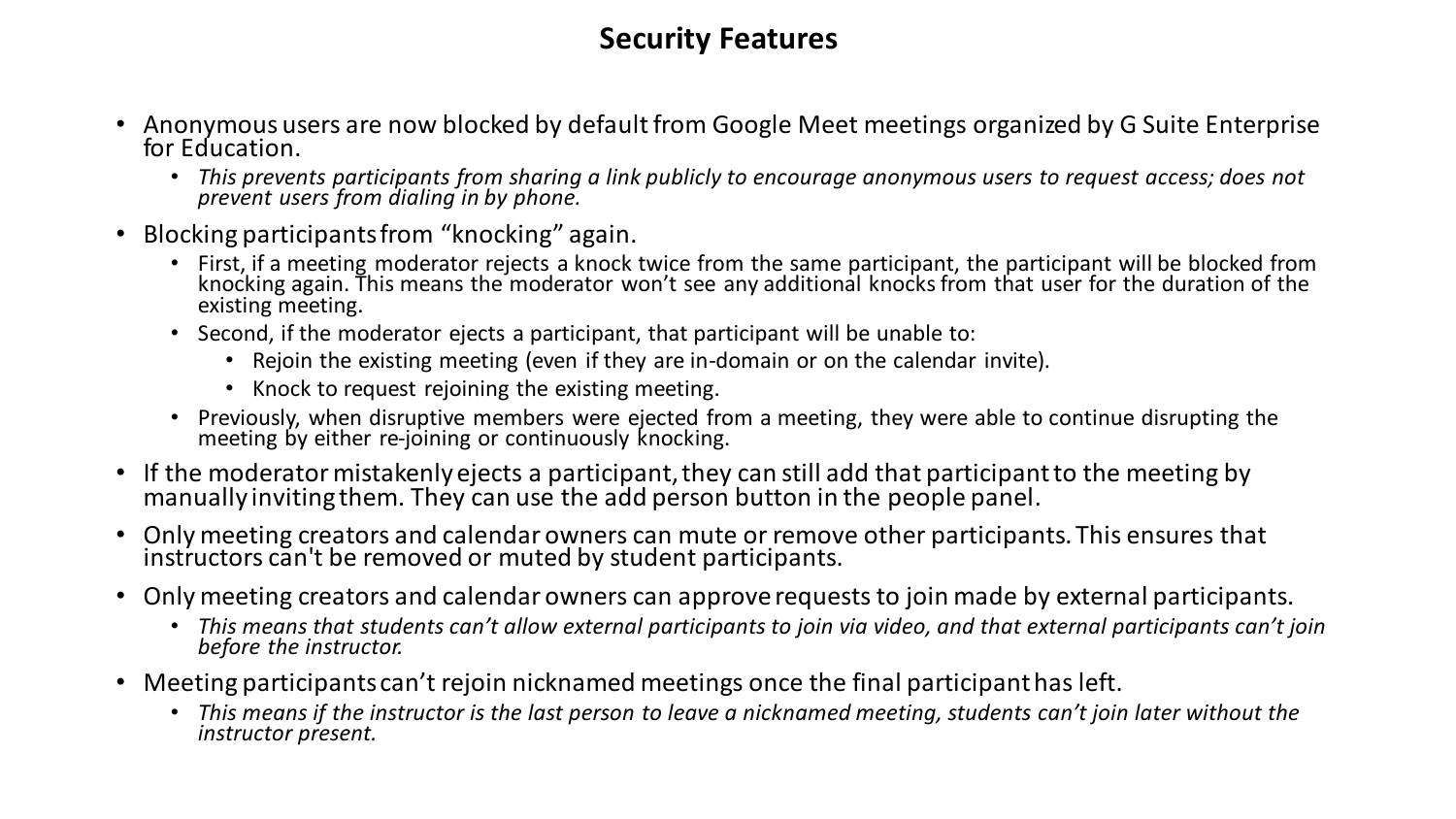#### **Security Features**

- Anonymous users are now blocked by default from Google Meet meetings organized by G Suite Enterprise for Education.
	- *This prevents participants from sharing a link publicly to encourage anonymous users to request access; does not prevent users from dialing in by phone.*
- Blocking participants from "knocking" again.
	- First, if a meeting moderator rejects a knock twice from the same participant, the participant will be blocked from knocking again. This means the moderator won't see any additional knocks from that user for the duration of the existing meeting.
	- Second, if the moderator ejects a participant, that participant will be unable to:
		- Rejoin the existing meeting (even if they are in-domain or on the calendar invite).
		- Knock to request rejoining the existing meeting.
	- Previously, when disruptive members were ejected from a meeting, they were able to continue disrupting the meeting by either re-joining or continuously knocking.
- If the moderator mistakenly ejects a participant, they can still add that participant to the meeting by manually inviting them. They can use the add person button in the people panel.
- Only meeting creators and calendar owners can mute or remove other participants. This ensures that instructors can't be removed or muted by student participants.
- Only meeting creators and calendar owners can approve requests to join made by external participants.
	- *This means that students can't allow external participants to join via video, and that external participants can't join before the instructor.*
- Meeting participants can't rejoin nicknamed meetings once the final participant has left.
	- *This means if the instructor is the last person to leave a nicknamed meeting, students can't join later without the instructor present.*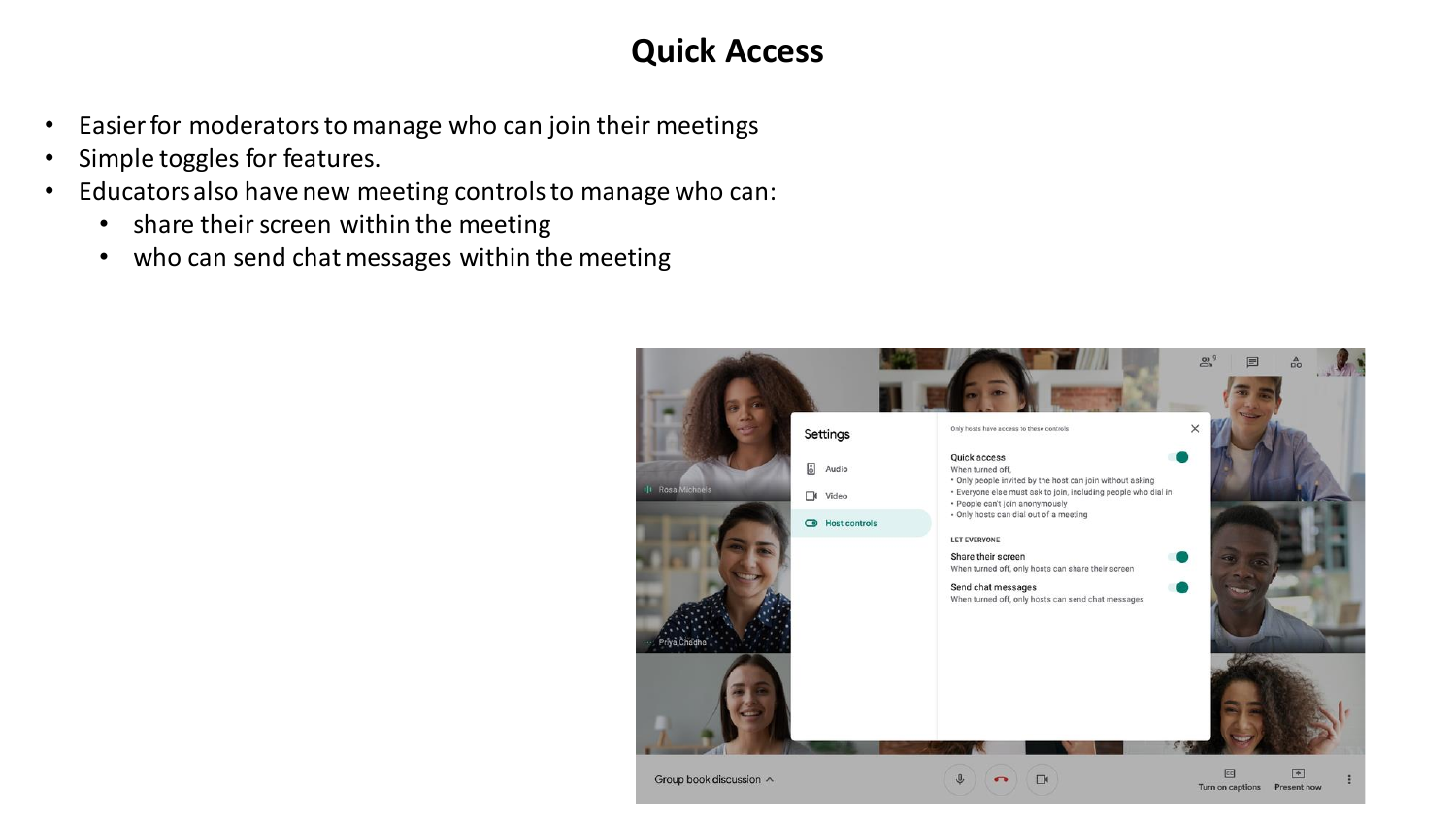## **Quick Access**

- Easier for moderators to manage who can join their meetings
- Simple toggles for features.
- Educators also have new meeting controls to manage who can:
	- share their screen within the meeting
	- who can send chat messages within the meeting

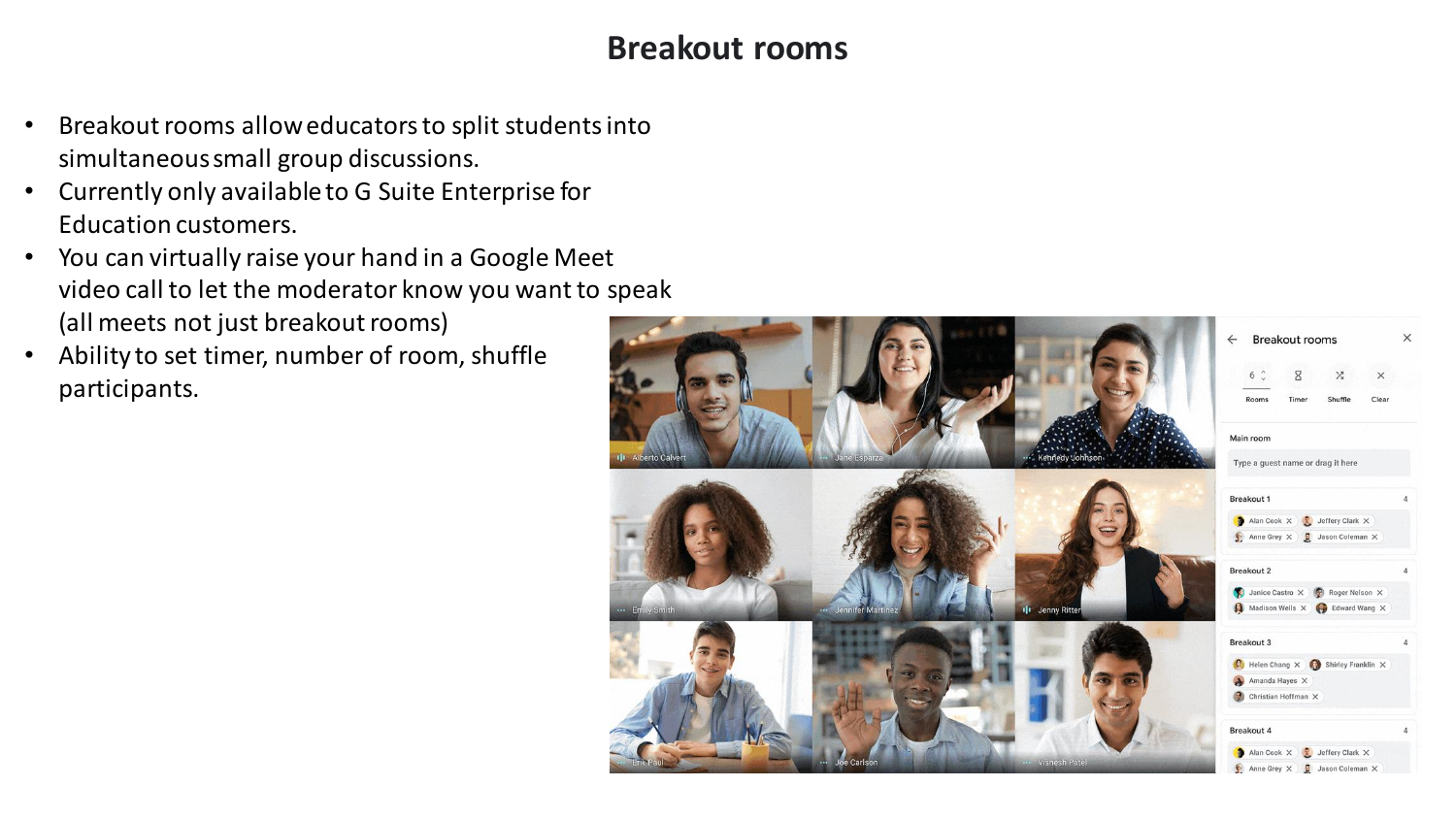### **Breakout rooms**

- Breakout rooms allow educators to split students into simultaneous small group discussions.
- Currently only available to G Suite Enterprise for Education customers.
- You can virtually raise your hand in a Google Meet video call to let the moderator know you want to speak (all meets not just breakout rooms)
- Ability to set timer, number of room, shuffle participants.

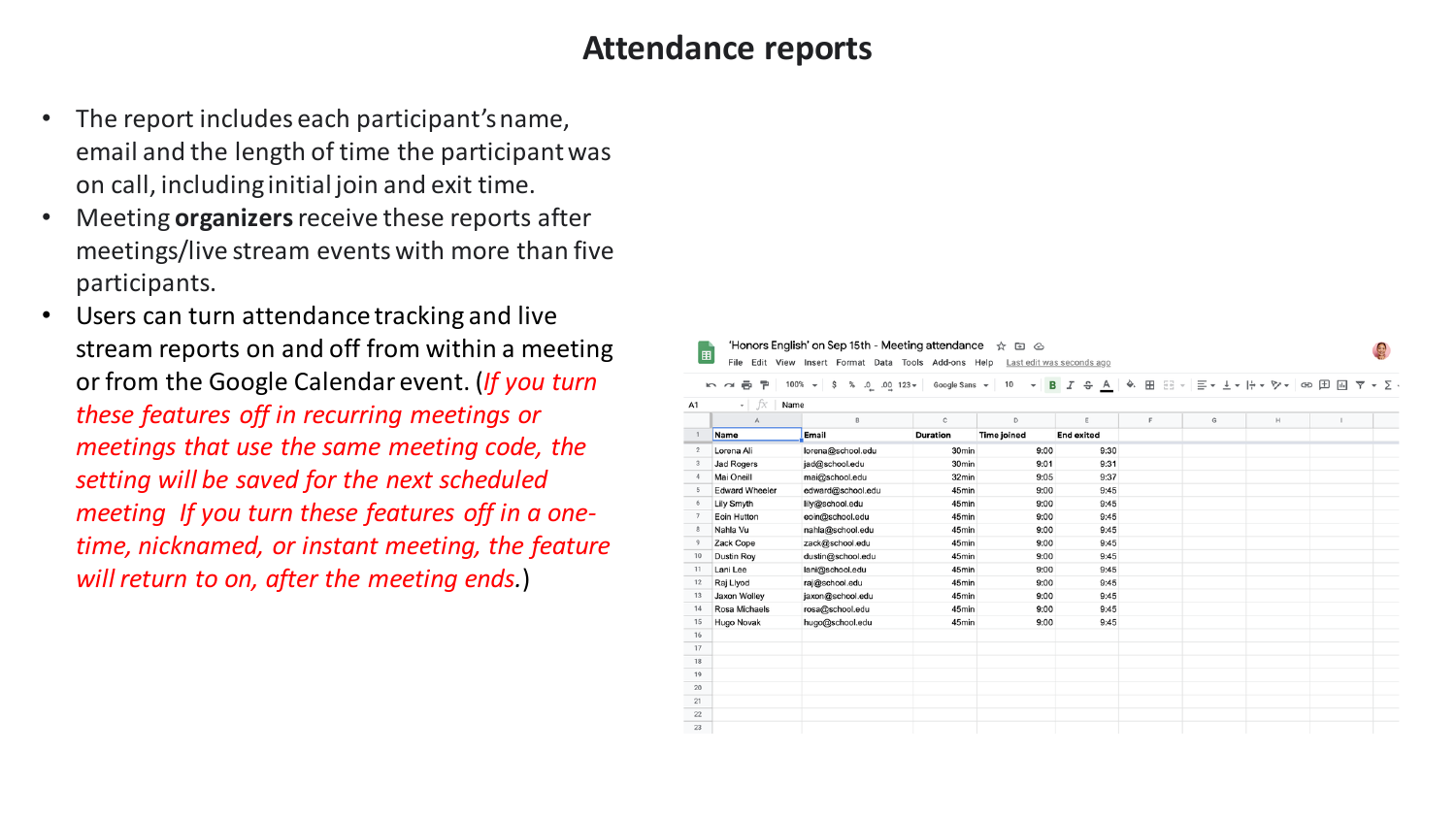#### **Attendance reports**

- The report includes each participant's name, email and the length of time the participant was on call, including initial join and exit time.
- Meeting **organizers**receive these reports after meetings/live stream events with more than five participants.
- Users can turn attendance tracking and live stream reports on and off from within a meeting or from the Google Calendar event. (*If you turn these features off in recurring meetings or meetings that use the same meeting code, the setting will be saved for the next scheduled meeting If you turn these features off in a onetime, nicknamed, or instant meeting, the feature will return to on, after the meeting ends.*)

| Ò.<br>田田 ヨーニ・エ・ト・シー 田田<br>$100\%$ $\sim$<br>% .0<br>$.00 \t123 -$<br>Google Sans -<br>$B$ $I$ $\frac{c}{c}$ $A$<br>$\overline{Y}$ $\rightarrow$ $\overline{Y}$ $\rightarrow$<br>ē<br>\$<br>10<br>쿠<br>$\sqrt{2}$<br>$\overline{\phantom{a}}$<br>fx<br>Name<br>A1<br>$^\circ$ |                       |                   |                   |                    |                   |  |  |  |  |  |
|------------------------------------------------------------------------------------------------------------------------------------------------------------------------------------------------------------------------------------------------------------------------------|-----------------------|-------------------|-------------------|--------------------|-------------------|--|--|--|--|--|
|                                                                                                                                                                                                                                                                              |                       |                   |                   |                    |                   |  |  |  |  |  |
| $\overline{1}$                                                                                                                                                                                                                                                               | <b>Name</b>           | Email             | <b>Duration</b>   | <b>Time joined</b> | <b>End exited</b> |  |  |  |  |  |
| $\overline{2}$                                                                                                                                                                                                                                                               | Lorena Ali            | lorena@school.edu | 30 <sub>min</sub> | 9:00               | 9:30              |  |  |  |  |  |
| 3                                                                                                                                                                                                                                                                            | <b>Jad Rogers</b>     | jad@school.edu    | 30 <sub>min</sub> | 9:01               | 9:31              |  |  |  |  |  |
| $\boldsymbol{A}$                                                                                                                                                                                                                                                             | Mai Oneill            | mai@school.edu    | 32min             | 9:05               | 9:37              |  |  |  |  |  |
|                                                                                                                                                                                                                                                                              | <b>Edward Wheeler</b> | edward@school.edu | 45min             | 9:00               | 9:45              |  |  |  |  |  |
| 6                                                                                                                                                                                                                                                                            | Lily Smyth            | lily@school.edu   | 45min             | 9:00               | 9:45              |  |  |  |  |  |
|                                                                                                                                                                                                                                                                              | Eoin Hutton           | eoin@school.edu   | 45min             | 9:00               | 9:45              |  |  |  |  |  |
|                                                                                                                                                                                                                                                                              | Nahla Vu              | nahla@school.edu  | 45min             | 9:00               | 9:45              |  |  |  |  |  |
|                                                                                                                                                                                                                                                                              | Zack Cope             | zack@school.edu   | 45min             | 9:00               | 9:45              |  |  |  |  |  |
|                                                                                                                                                                                                                                                                              | Dustin Roy            | dustin@school.edu | 45min             | 9:00               | 9:45              |  |  |  |  |  |
|                                                                                                                                                                                                                                                                              | Lani Lee              | lani@school.edu   | 45min             | 9:00               | 9:45              |  |  |  |  |  |
| 12                                                                                                                                                                                                                                                                           | Raj Llyod             | raj@school.edu    | 45min             | 9:00               | 9:45              |  |  |  |  |  |
| 13                                                                                                                                                                                                                                                                           | Jaxon Wolley          | jaxon@school.edu  | 45min             | 9:00               | 9:45              |  |  |  |  |  |
| 14                                                                                                                                                                                                                                                                           | Rosa Michaels         | rosa@school.edu   | 45min             | 9:00               | 9:45              |  |  |  |  |  |
| 15                                                                                                                                                                                                                                                                           | Hugo Novak            | hugo@school.edu   | 45min             | 9:00               | 9:45              |  |  |  |  |  |
| 16                                                                                                                                                                                                                                                                           |                       |                   |                   |                    |                   |  |  |  |  |  |
| 17                                                                                                                                                                                                                                                                           |                       |                   |                   |                    |                   |  |  |  |  |  |
| 18                                                                                                                                                                                                                                                                           |                       |                   |                   |                    |                   |  |  |  |  |  |
| 19                                                                                                                                                                                                                                                                           |                       |                   |                   |                    |                   |  |  |  |  |  |
| 20                                                                                                                                                                                                                                                                           |                       |                   |                   |                    |                   |  |  |  |  |  |
| 21                                                                                                                                                                                                                                                                           |                       |                   |                   |                    |                   |  |  |  |  |  |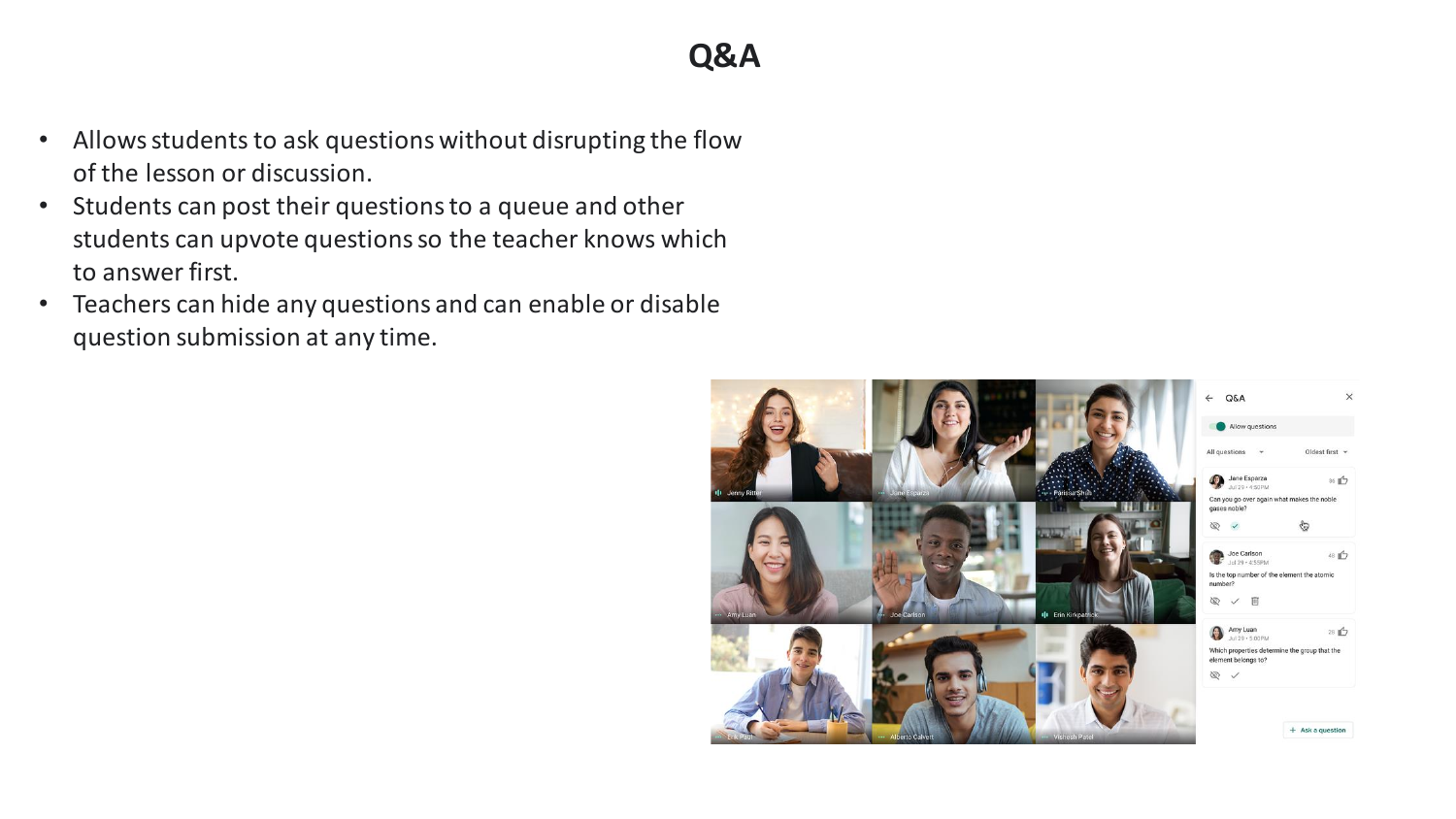- Allows students to ask questions without disrupting the flow of the lesson or discussion.
- Students can post their questions to a queue and other students can upvote questions so the teacher knows which to answer first.
- Teachers can hide any questions and can enable or disable question submission at any time.

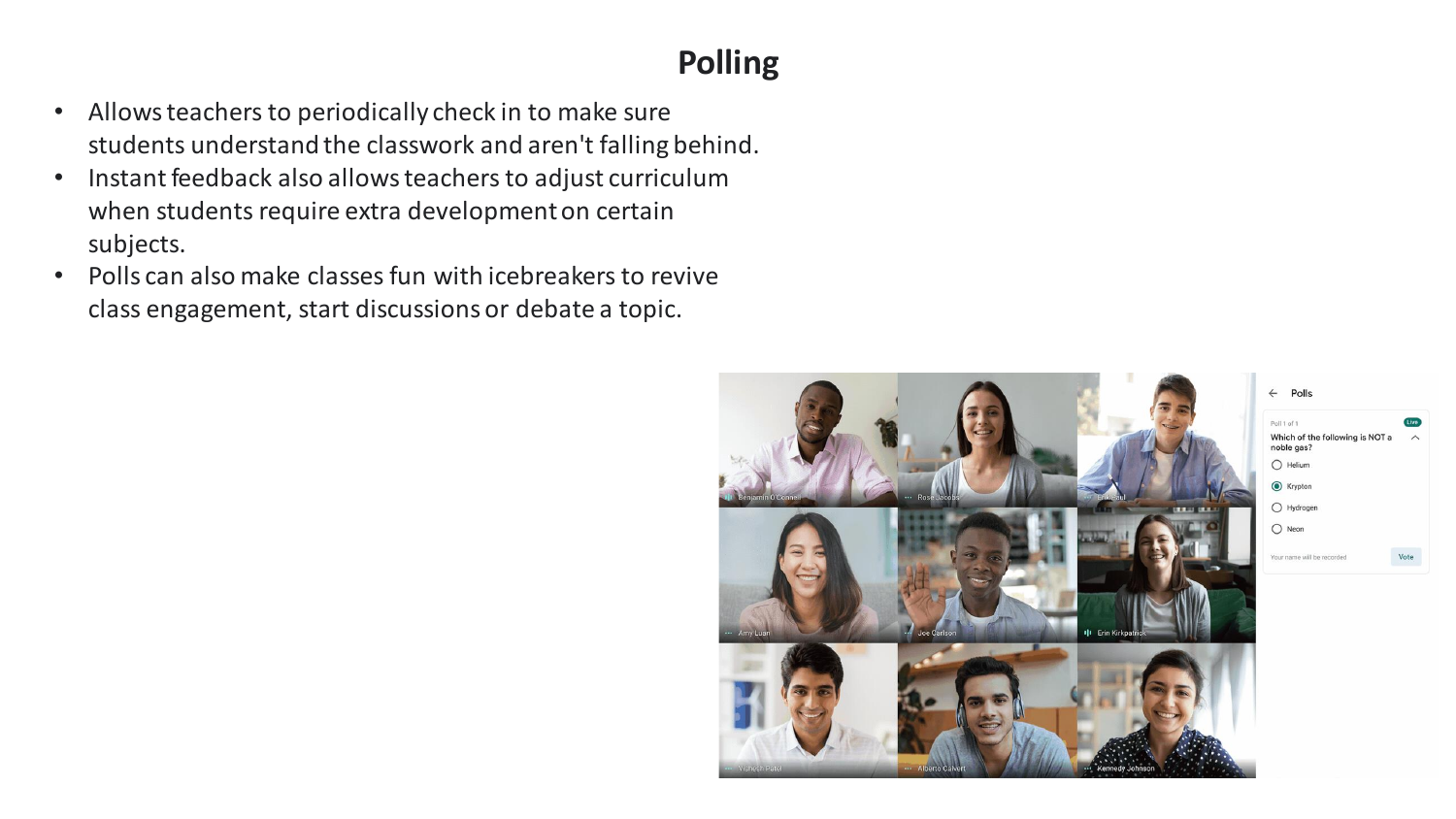# **Polling**

- Allows teachers to periodically check in to make sure students understand the classwork and aren't falling behind.
- Instant feedback also allows teachers to adjust curriculum when students require extra development on certain subjects.
- Polls can also make classes fun with icebreakers to revive class engagement, start discussions or debate a topic.